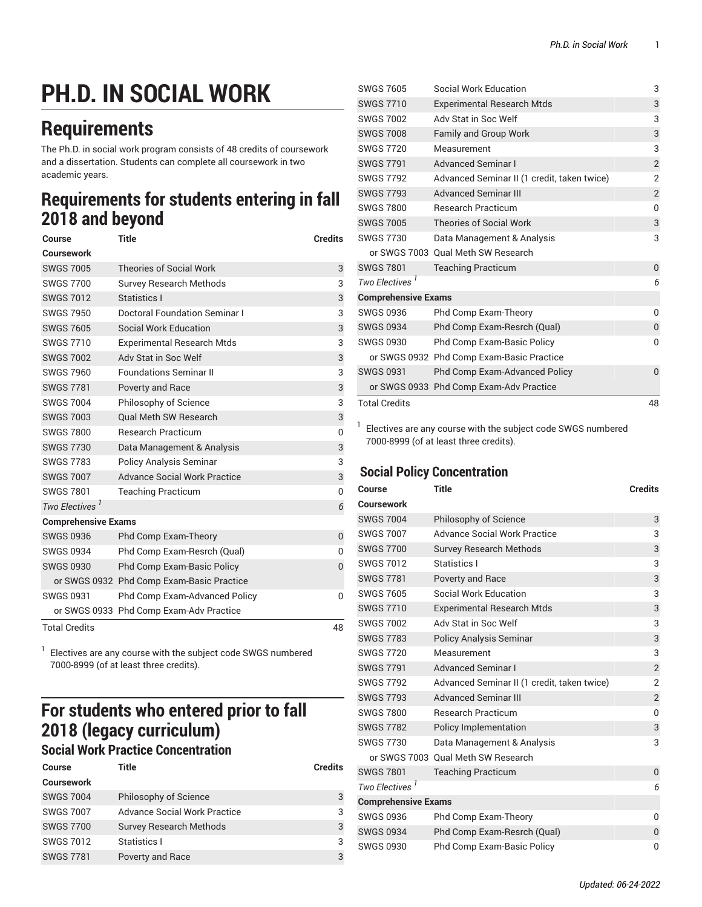# **PH.D. IN SOCIAL WORK**

## **Requirements**

The Ph.D. in social work program consists of 48 credits of coursework and a dissertation. Students can complete all coursework in two academic years.

## **Requirements for students entering in fall 2018 and beyond**

| Course                     | <b>Title</b>                              | <b>Credits</b> |
|----------------------------|-------------------------------------------|----------------|
| Coursework                 |                                           |                |
| <b>SWGS 7005</b>           | <b>Theories of Social Work</b>            | 3              |
| <b>SWGS 7700</b>           | <b>Survey Research Methods</b>            | 3              |
| <b>SWGS 7012</b>           | Statistics I                              | 3              |
| <b>SWGS 7950</b>           | Doctoral Foundation Seminar I             | 3              |
| <b>SWGS 7605</b>           | Social Work Education                     | 3              |
| <b>SWGS 7710</b>           | <b>Experimental Research Mtds</b>         | 3              |
| <b>SWGS 7002</b>           | Adv Stat in Soc Welf                      | 3              |
| <b>SWGS 7960</b>           | <b>Foundations Seminar II</b>             | 3              |
| <b>SWGS 7781</b>           | Poverty and Race                          | 3              |
| <b>SWGS 7004</b>           | Philosophy of Science                     | 3              |
| <b>SWGS 7003</b>           | <b>Oual Meth SW Research</b>              | 3              |
| <b>SWGS 7800</b>           | <b>Research Practicum</b>                 | 0              |
| <b>SWGS 7730</b>           | Data Management & Analysis                | 3              |
| <b>SWGS 7783</b>           | <b>Policy Analysis Seminar</b>            | 3              |
| <b>SWGS 7007</b>           | <b>Advance Social Work Practice</b>       | 3              |
| <b>SWGS 7801</b>           | <b>Teaching Practicum</b>                 | 0              |
| Two Electives <sup>1</sup> |                                           | 6              |
| <b>Comprehensive Exams</b> |                                           |                |
| <b>SWGS 0936</b>           | Phd Comp Exam-Theory                      | 0              |
| <b>SWGS 0934</b>           | Phd Comp Exam-Resrch (Qual)               | O              |
| <b>SWGS 0930</b>           | <b>Phd Comp Exam-Basic Policy</b>         | $\overline{0}$ |
|                            | or SWGS 0932 Phd Comp Exam-Basic Practice |                |
| <b>SWGS 0931</b>           | Phd Comp Exam-Advanced Policy             | O              |
|                            | or SWGS 0933 Phd Comp Exam-Adv Practice   |                |
| <b>Total Credits</b>       |                                           | 48             |

1 Electives are any course with the [subject code SWGS](https://bulletin.fordham.edu/courses/SWGS/) numbered 7000-8999 (of at least three credits).

## **For students who entered prior to fall 2018 (legacy curriculum)**

### **Social Work Practice Concentration**

| <b>Course</b>     | Title                               | <b>Credits</b> |
|-------------------|-------------------------------------|----------------|
| <b>Coursework</b> |                                     |                |
| <b>SWGS 7004</b>  | Philosophy of Science               | 3              |
| <b>SWGS 7007</b>  | <b>Advance Social Work Practice</b> | 3              |
| <b>SWGS 7700</b>  | <b>Survey Research Methods</b>      | 3              |
| <b>SWGS 7012</b>  | Statistics I                        | 3              |
| <b>SWGS 7781</b>  | Poverty and Race                    | 3              |

|                            | <b>SWGS 7605</b>           | Social Work Education                       | 3              |
|----------------------------|----------------------------|---------------------------------------------|----------------|
|                            | <b>SWGS 7710</b>           | <b>Experimental Research Mtds</b>           | 3              |
|                            | <b>SWGS 7002</b>           | Adv Stat in Soc Welf                        | 3              |
|                            | <b>SWGS 7008</b>           | <b>Family and Group Work</b>                | 3              |
|                            | <b>SWGS 7720</b>           | Measurement                                 | 3              |
|                            | <b>SWGS 7791</b>           | <b>Advanced Seminar I</b>                   | $\overline{c}$ |
|                            | <b>SWGS 7792</b>           | Advanced Seminar II (1 credit, taken twice) | 2              |
|                            | <b>SWGS 7793</b>           | <b>Advanced Seminar III</b>                 | $\overline{2}$ |
|                            | <b>SWGS 7800</b>           | <b>Research Practicum</b>                   | 0              |
|                            | <b>SWGS 7005</b>           | <b>Theories of Social Work</b>              | 3              |
|                            | <b>SWGS 7730</b>           | Data Management & Analysis                  | 3              |
|                            | or SWGS 7003               | <b>Qual Meth SW Research</b>                |                |
|                            | <b>SWGS 7801</b>           | <b>Teaching Practicum</b>                   | 0              |
|                            | Two Electives <sup>1</sup> |                                             | 6              |
| <b>Comprehensive Exams</b> |                            |                                             |                |
|                            | <b>SWGS 0936</b>           | Phd Comp Exam-Theory                        | $\Omega$       |
|                            | <b>SWGS 0934</b>           | Phd Comp Exam-Resrch (Qual)                 | $\Omega$       |
|                            | <b>SWGS 0930</b>           | Phd Comp Exam-Basic Policy                  | 0              |
|                            |                            | or SWGS 0932 Phd Comp Exam-Basic Practice   |                |
|                            | <b>SWGS 0931</b>           | Phd Comp Exam-Advanced Policy               | $\Omega$       |
|                            |                            | or SWGS 0933 Phd Comp Exam-Adv Practice     |                |
|                            | <b>Total Credits</b>       |                                             | 48             |
|                            |                            |                                             |                |

 $1$  Electives are any course with the [subject code SWGS](https://bulletin.fordham.edu/courses/SWGS/) numbered 7000-8999 (of at least three credits).

#### **Social Policy Concentration**

| Course                     | <b>Title</b>                                | <b>Credits</b> |
|----------------------------|---------------------------------------------|----------------|
| Coursework                 |                                             |                |
| <b>SWGS 7004</b>           | Philosophy of Science                       | 3              |
| <b>SWGS 7007</b>           | <b>Advance Social Work Practice</b>         | 3              |
| <b>SWGS 7700</b>           | <b>Survey Research Methods</b>              | 3              |
| <b>SWGS 7012</b>           | Statistics I                                | 3              |
| <b>SWGS 7781</b>           | Poverty and Race                            | 3              |
| <b>SWGS 7605</b>           | Social Work Education                       | 3              |
| <b>SWGS 7710</b>           | <b>Experimental Research Mtds</b>           | 3              |
| <b>SWGS 7002</b>           | Adv Stat in Soc Welf                        | 3              |
| <b>SWGS 7783</b>           | <b>Policy Analysis Seminar</b>              | 3              |
| <b>SWGS 7720</b>           | Measurement                                 | 3              |
| <b>SWGS 7791</b>           | <b>Advanced Seminar I</b>                   | $\overline{2}$ |
| <b>SWGS 7792</b>           | Advanced Seminar II (1 credit, taken twice) | $\overline{2}$ |
| <b>SWGS 7793</b>           | <b>Advanced Seminar III</b>                 | $\overline{2}$ |
| <b>SWGS 7800</b>           | <b>Research Practicum</b>                   | 0              |
| <b>SWGS 7782</b>           | <b>Policy Implementation</b>                | 3              |
| <b>SWGS 7730</b>           | Data Management & Analysis                  | 3              |
| or SWGS 7003               | <b>Qual Meth SW Research</b>                |                |
| <b>SWGS 7801</b>           | <b>Teaching Practicum</b>                   | 0              |
| <b>Two Electives</b>       |                                             | 6              |
| <b>Comprehensive Exams</b> |                                             |                |
| <b>SWGS 0936</b>           | Phd Comp Exam-Theory                        | 0              |
| <b>SWGS 0934</b>           | Phd Comp Exam-Resrch (Qual)                 | 0              |
| <b>SWGS 0930</b>           | <b>Phd Comp Exam-Basic Policy</b>           | 0              |